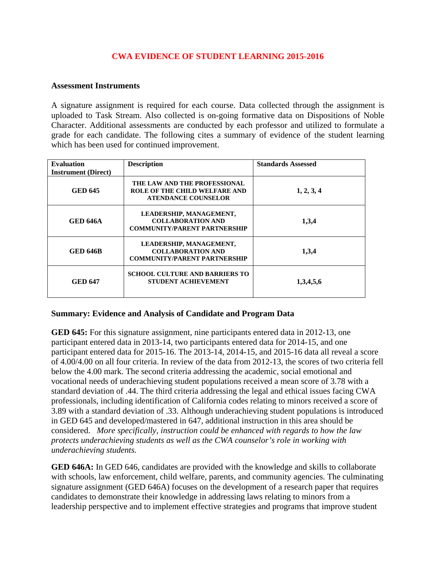## **CWA EVIDENCE OF STUDENT LEARNING 2015-2016**

## **Assessment Instruments**

A signature assignment is required for each course. Data collected through the assignment is uploaded to Task Stream. Also collected is on-going formative data on Dispositions of Noble Character. Additional assessments are conducted by each professor and utilized to formulate a grade for each candidate. The following cites a summary of evidence of the student learning which has been used for continued improvement.

| <b>Evaluation</b><br><b>Instrument</b> (Direct) | <b>Description</b>                                                                          | <b>Standards Assessed</b> |
|-------------------------------------------------|---------------------------------------------------------------------------------------------|---------------------------|
| <b>GED 645</b>                                  | THE LAW AND THE PROFESSIONAL<br>ROLE OF THE CHILD WELFARE AND<br><b>ATENDANCE COUNSELOR</b> | 1, 2, 3, 4                |
| <b>GED 646A</b>                                 | LEADERSHIP, MANAGEMENT,<br><b>COLLABORATION AND</b><br><b>COMMUNITY/PARENT PARTNERSHIP</b>  | 1,3,4                     |
| <b>GED 646B</b>                                 | LEADERSHIP, MANAGEMENT,<br><b>COLLABORATION AND</b><br><b>COMMUNITY/PARENT PARTNERSHIP</b>  | 1,3,4                     |
| GED 647                                         | <b>SCHOOL CULTURE AND BARRIERS TO</b><br><b>STUDENT ACHIEVEMENT</b>                         | 1,3,4,5,6                 |

## **Summary: Evidence and Analysis of Candidate and Program Data**

**GED 645:** For this signature assignment, nine participants entered data in 2012-13, one participant entered data in 2013-14, two participants entered data for 2014-15, and one participant entered data for 2015-16. The 2013-14, 2014-15, and 2015-16 data all reveal a score of 4.00/4.00 on all four criteria. In review of the data from 2012-13, the scores of two criteria fell below the 4.00 mark. The second criteria addressing the academic, social emotional and vocational needs of underachieving student populations received a mean score of 3.78 with a standard deviation of .44. The third criteria addressing the legal and ethical issues facing CWA professionals, including identification of California codes relating to minors received a score of 3.89 with a standard deviation of .33. Although underachieving student populations is introduced in GED 645 and developed/mastered in 647, additional instruction in this area should be considered. *More specifically, instruction could be enhanced with regards to how the law protects underachieving students as well as the CWA counselor's role in working with underachieving students.* 

**GED 646A:** In GED 646, candidates are provided with the knowledge and skills to collaborate with schools, law enforcement, child welfare, parents, and community agencies. The culminating signature assignment (GED 646A) focuses on the development of a research paper that requires candidates to demonstrate their knowledge in addressing laws relating to minors from a leadership perspective and to implement effective strategies and programs that improve student